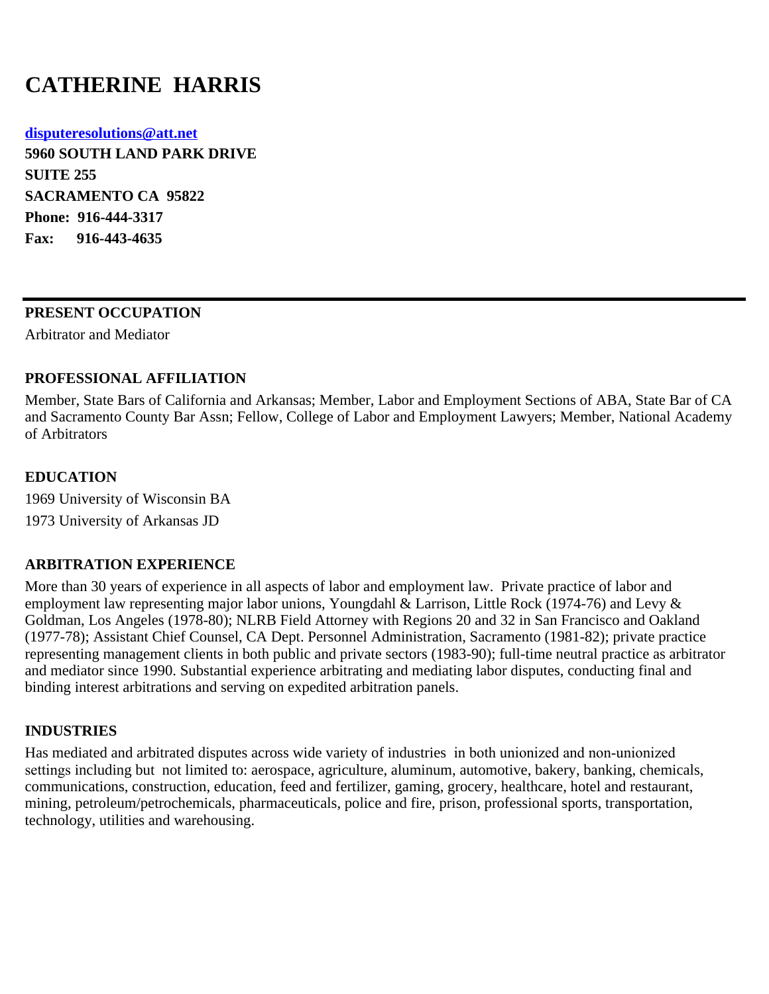# **CATHERINE HARRIS**

**[disputeresolutions@att.net](mailto:disputeresolutions@att.net) 5960 SOUTH LAND PARK DRIVE SUITE 255 SACRAMENTO CA 95822 Phone: 916-444-3317 Fax: 916-443-4635**

## **PRESENT OCCUPATION**

Arbitrator and Mediator

## **PROFESSIONAL AFFILIATION**

Member, State Bars of California and Arkansas; Member, Labor and Employment Sections of ABA, State Bar of CA and Sacramento County Bar Assn; Fellow, College of Labor and Employment Lawyers; Member, National Academy of Arbitrators

## **EDUCATION**

1969 University of Wisconsin BA 1973 University of Arkansas JD

#### **ARBITRATION EXPERIENCE**

More than 30 years of experience in all aspects of labor and employment law. Private practice of labor and employment law representing major labor unions, Youngdahl & Larrison, Little Rock (1974-76) and Levy & Goldman, Los Angeles (1978-80); NLRB Field Attorney with Regions 20 and 32 in San Francisco and Oakland (1977-78); Assistant Chief Counsel, CA Dept. Personnel Administration, Sacramento (1981-82); private practice representing management clients in both public and private sectors (1983-90); full-time neutral practice as arbitrator and mediator since 1990. Substantial experience arbitrating and mediating labor disputes, conducting final and binding interest arbitrations and serving on expedited arbitration panels.

# **INDUSTRIES**

Has mediated and arbitrated disputes across wide variety of industries in both unionized and non-unionized settings including but not limited to: aerospace, agriculture, aluminum, automotive, bakery, banking, chemicals, communications, construction, education, feed and fertilizer, gaming, grocery, healthcare, hotel and restaurant, mining, petroleum/petrochemicals, pharmaceuticals, police and fire, prison, professional sports, transportation, technology, utilities and warehousing.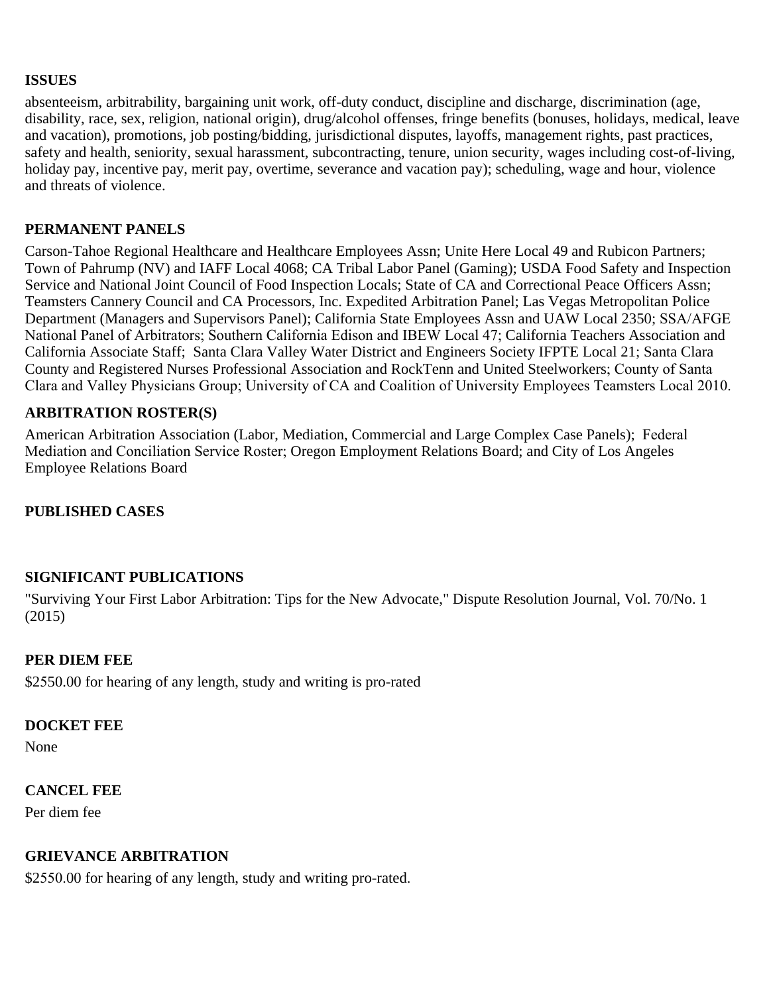#### **ISSUES**

absenteeism, arbitrability, bargaining unit work, off-duty conduct, discipline and discharge, discrimination (age, disability, race, sex, religion, national origin), drug/alcohol offenses, fringe benefits (bonuses, holidays, medical, leave and vacation), promotions, job posting/bidding, jurisdictional disputes, layoffs, management rights, past practices, safety and health, seniority, sexual harassment, subcontracting, tenure, union security, wages including cost-of-living, holiday pay, incentive pay, merit pay, overtime, severance and vacation pay); scheduling, wage and hour, violence and threats of violence.

## **PERMANENT PANELS**

Carson-Tahoe Regional Healthcare and Healthcare Employees Assn; Unite Here Local 49 and Rubicon Partners; Town of Pahrump (NV) and IAFF Local 4068; CA Tribal Labor Panel (Gaming); USDA Food Safety and Inspection Service and National Joint Council of Food Inspection Locals; State of CA and Correctional Peace Officers Assn; Teamsters Cannery Council and CA Processors, Inc. Expedited Arbitration Panel; Las Vegas Metropolitan Police Department (Managers and Supervisors Panel); California State Employees Assn and UAW Local 2350; SSA/AFGE National Panel of Arbitrators; Southern California Edison and IBEW Local 47; California Teachers Association and California Associate Staff; Santa Clara Valley Water District and Engineers Society IFPTE Local 21; Santa Clara County and Registered Nurses Professional Association and RockTenn and United Steelworkers; County of Santa Clara and Valley Physicians Group; University of CA and Coalition of University Employees Teamsters Local 2010.

## **ARBITRATION ROSTER(S)**

American Arbitration Association (Labor, Mediation, Commercial and Large Complex Case Panels); Federal Mediation and Conciliation Service Roster; Oregon Employment Relations Board; and City of Los Angeles Employee Relations Board

# **PUBLISHED CASES**

#### **SIGNIFICANT PUBLICATIONS**

"Surviving Your First Labor Arbitration: Tips for the New Advocate," Dispute Resolution Journal, Vol. 70/No. 1 (2015)

#### **PER DIEM FEE**

\$2550.00 for hearing of any length, study and writing is pro-rated

#### **DOCKET FEE**

None

#### **CANCEL FEE**

Per diem fee

#### **GRIEVANCE ARBITRATION**

\$2550.00 for hearing of any length, study and writing pro-rated.